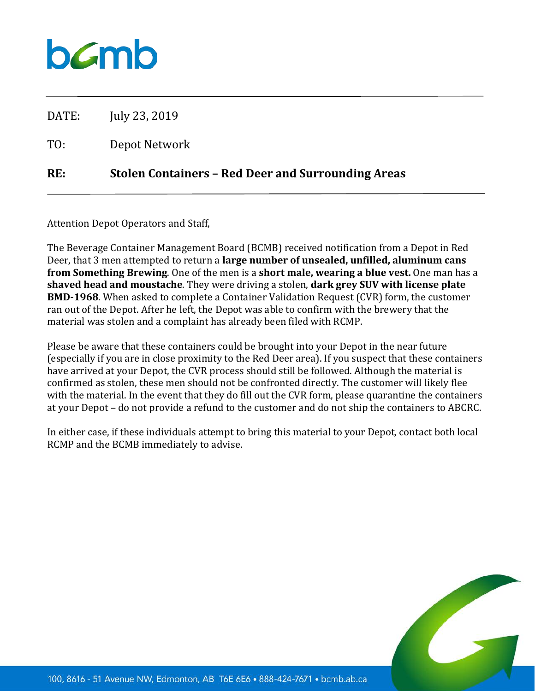## $b$ *C*mb

DATE: July 23, 2019

TO: Depot Network

## **RE: Stolen Containers – Red Deer and Surrounding Areas**

Attention Depot Operators and Staff,

The Beverage Container Management Board (BCMB) received notification from a Depot in Red Deer, that 3 men attempted to return a **large number of unsealed, unfilled, aluminum cans from Something Brewing**. One of the men is a **short male, wearing a blue vest.** One man has a **shaved head and moustache**. They were driving a stolen, **dark grey SUV with license plate BMD-1968**. When asked to complete a Container Validation Request (CVR) form, the customer ran out of the Depot. After he left, the Depot was able to confirm with the brewery that the material was stolen and a complaint has already been filed with RCMP.

Please be aware that these containers could be brought into your Depot in the near future (especially if you are in close proximity to the Red Deer area). If you suspect that these containers have arrived at your Depot, the CVR process should still be followed. Although the material is confirmed as stolen, these men should not be confronted directly. The customer will likely flee with the material. In the event that they do fill out the CVR form, please quarantine the containers at your Depot – do not provide a refund to the customer and do not ship the containers to ABCRC.

In either case, if these individuals attempt to bring this material to your Depot, contact both local RCMP and the BCMB immediately to advise.